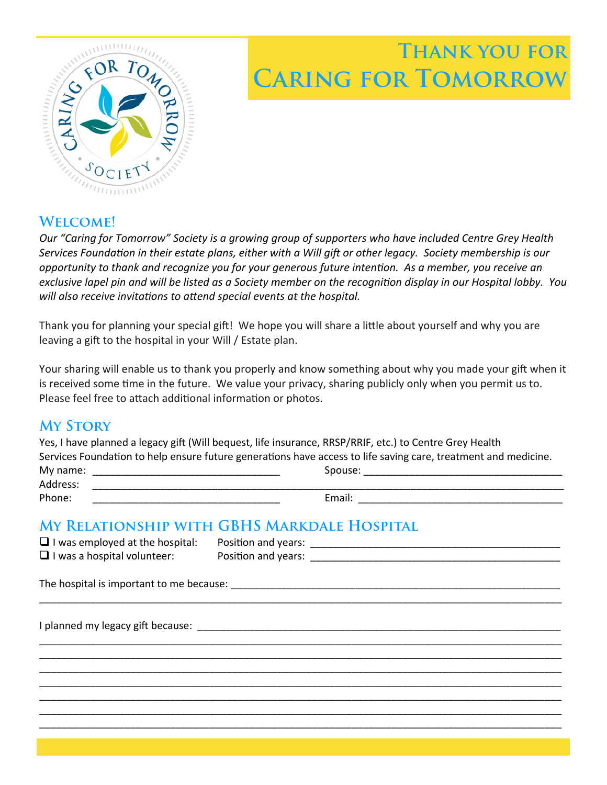# **Thank you for CARING FOR TOMORRO**



## **Welcome!**

*Our "Caring for Tomorrow" Society is a growing group of supporters who have included Centre Grey Health Services Foundation in their estate plans, either with a Will gift or other legacy. Society membership is our opportunity to thank and recognize you for your generous future intenƟon. As a member, you receive an*  exclusive lapel pin and will be listed as a Society member on the recognition display in our Hospital lobby. You will also receive invitations to attend special events at the hospital.

Thank you for planning your special gift! We hope you will share a little about yourself and why you are leaving a gift to the hospital in your Will / Estate plan.

Your sharing will enable us to thank you properly and know something about why you made your gift when it is received some time in the future. We value your privacy, sharing publicly only when you permit us to. Please feel free to attach additional information or photos.

### **My Story**

|                                        | Yes, I have planned a legacy gift (Will bequest, life insurance, RRSP/RRIF, etc.) to Centre Grey Health<br>Services Foundation to help ensure future generations have access to life saving care, treatment and medicine. |
|----------------------------------------|---------------------------------------------------------------------------------------------------------------------------------------------------------------------------------------------------------------------------|
|                                        |                                                                                                                                                                                                                           |
|                                        |                                                                                                                                                                                                                           |
| Phone:                                 |                                                                                                                                                                                                                           |
|                                        | MY RELATIONSHIP WITH GBHS MARKDALE HOSPITAL                                                                                                                                                                               |
| $\Box$ I was employed at the hospital: |                                                                                                                                                                                                                           |
| $\Box$ I was a hospital volunteer:     |                                                                                                                                                                                                                           |
|                                        |                                                                                                                                                                                                                           |
|                                        |                                                                                                                                                                                                                           |
|                                        |                                                                                                                                                                                                                           |
|                                        |                                                                                                                                                                                                                           |
|                                        |                                                                                                                                                                                                                           |
|                                        |                                                                                                                                                                                                                           |
|                                        |                                                                                                                                                                                                                           |